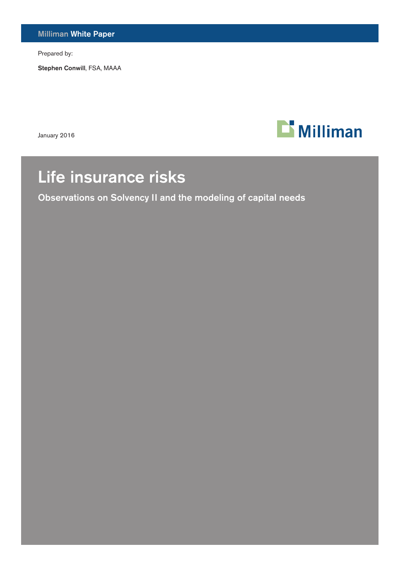Milliman White Paper

Prepared by:

Stephen Conwill, FSA, MAAA

January 2016



# Life insurance risks

Observations on Solvency II and the modeling of capital needs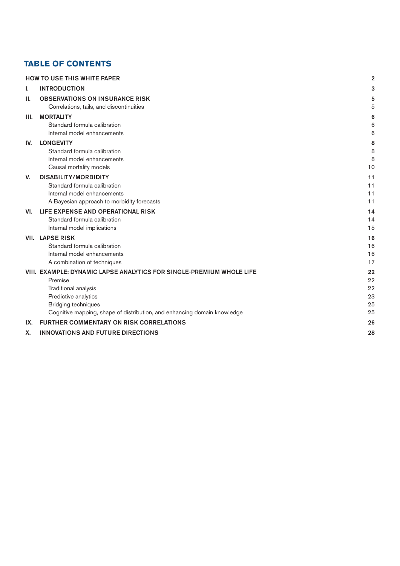# **TABLE OF CONTENTS**

|      | <b>HOW TO USE THIS WHITE PAPER</b>                                       | $\overline{2}$ |
|------|--------------------------------------------------------------------------|----------------|
| ı.   | <b>INTRODUCTION</b>                                                      | 3              |
| Н.   | <b>OBSERVATIONS ON INSURANCE RISK</b>                                    |                |
|      | Correlations, tails, and discontinuities                                 | 5              |
| III. | <b>MORTALITY</b>                                                         | 6              |
|      | Standard formula calibration                                             | 6              |
|      | Internal model enhancements                                              | 6              |
| IV.  | <b>LONGEVITY</b>                                                         | 8              |
|      | Standard formula calibration                                             | 8              |
|      | Internal model enhancements                                              | 8              |
|      | Causal mortality models                                                  | 10             |
| V.   | <b>DISABILITY/MORBIDITY</b>                                              | 11             |
|      | Standard formula calibration                                             | 11             |
|      | Internal model enhancements                                              | 11             |
|      | A Bayesian approach to morbidity forecasts                               | 11             |
| VI.  | LIFE EXPENSE AND OPERATIONAL RISK                                        | 14             |
|      | Standard formula calibration                                             | 14             |
|      | Internal model implications                                              | 15             |
| VII. | <b>LAPSE RISK</b>                                                        | 16             |
|      | Standard formula calibration                                             | 16             |
|      | Internal model enhancements                                              | 16             |
|      | A combination of techniques                                              | 17             |
|      | VIII. EXAMPLE: DYNAMIC LAPSE ANALYTICS FOR SINGLE-PREMIUM WHOLE LIFE     | 22             |
|      | Premise                                                                  | 22             |
|      | Traditional analysis                                                     | 22             |
|      | Predictive analytics                                                     | 23             |
|      | <b>Bridging techniques</b>                                               | 25             |
|      | Cognitive mapping, shape of distribution, and enhancing domain knowledge | 25             |
| IX.  | <b>FURTHER COMMENTARY ON RISK CORRELATIONS</b>                           | 26             |
| Χ.   | <b>INNOVATIONS AND FUTURE DIRECTIONS</b>                                 | 28             |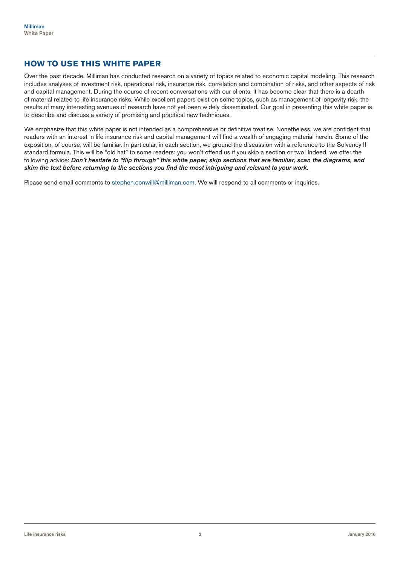# **HOW TO USE THIS WHITE PAPER**

Over the past decade, Milliman has conducted research on a variety of topics related to economic capital modeling. This research includes analyses of investment risk, operational risk, insurance risk, correlation and combination of risks, and other aspects of risk and capital management. During the course of recent conversations with our clients, it has become clear that there is a dearth of material related to life insurance risks. While excellent papers exist on some topics, such as management of longevity risk, the results of many interesting avenues of research have not yet been widely disseminated. Our goal in presenting this white paper is to describe and discuss a variety of promising and practical new techniques.

We emphasize that this white paper is not intended as a comprehensive or definitive treatise. Nonetheless, we are confident that readers with an interest in life insurance risk and capital management will find a wealth of engaging material herein. Some of the exposition, of course, will be familiar. In particular, in each section, we ground the discussion with a reference to the Solvency II standard formula. This will be "old hat" to some readers: you won't offend us if you skip a section or two! Indeed, we offer the following advice: *Don't hesitate to "flip through" this white paper, skip sections that are familiar, scan the diagrams, and skim the text before returning to the sections you find the most intriguing and relevant to your work.* 

Please send email comments to stephen.conwill@milliman.com. We will respond to all comments or inquiries.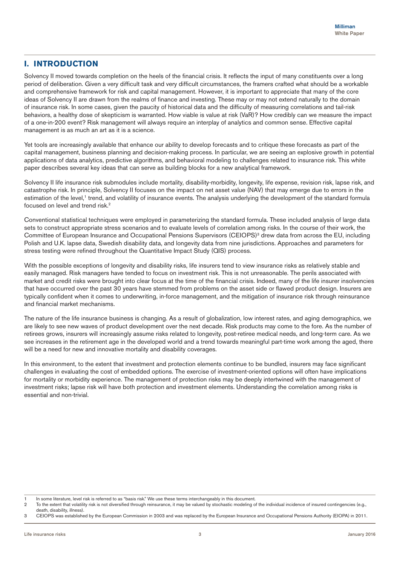# **I. INTRODUCTION**

Solvency II moved towards completion on the heels of the financial crisis. It reflects the input of many constituents over a long period of deliberation. Given a very difficult task and very difficult circumstances, the framers crafted what should be a workable and comprehensive framework for risk and capital management. However, it is important to appreciate that many of the core ideas of Solvency II are drawn from the realms of finance and investing. These may or may not extend naturally to the domain of insurance risk. In some cases, given the paucity of historical data and the difficulty of measuring correlations and tail-risk behaviors, a healthy dose of skepticism is warranted. How viable is value at risk (VaR)? How credibly can we measure the impact of a one-in-200 event? Risk management will always require an interplay of analytics and common sense. Effective capital management is as much an art as it is a science.

Yet tools are increasingly available that enhance our ability to develop forecasts and to critique these forecasts as part of the capital management, business planning and decision-making process. In particular, we are seeing an explosive growth in potential applications of data analytics, predictive algorithms, and behavioral modeling to challenges related to insurance risk. This white paper describes several key ideas that can serve as building blocks for a new analytical framework.

Solvency II life insurance risk submodules include mortality, disability-morbidity, longevity, life expense, revision risk, lapse risk, and catastrophe risk. In principle, Solvency II focuses on the impact on net asset value (NAV) that may emerge due to errors in the estimation of the level,<sup>1</sup> trend, and volatility of insurance events. The analysis underlying the development of the standard formula focused on level and trend risk.<sup>2</sup>

Conventional statistical techniques were employed in parameterizing the standard formula. These included analysis of large data sets to construct appropriate stress scenarios and to evaluate levels of correlation among risks. In the course of their work, the Committee of European Insurance and Occupational Pensions Supervisors (CEIOPS)<sup>3</sup> drew data from across the EU, including Polish and U.K. lapse data, Swedish disability data, and longevity data from nine jurisdictions. Approaches and parameters for stress testing were refined throughout the Quantitative Impact Study (QIS) process.

With the possible exceptions of longevity and disability risks, life insurers tend to view insurance risks as relatively stable and easily managed. Risk managers have tended to focus on investment risk. This is not unreasonable. The perils associated with market and credit risks were brought into clear focus at the time of the financial crisis. Indeed, many of the life insurer insolvencies that have occurred over the past 30 years have stemmed from problems on the asset side or flawed product design. Insurers are typically confident when it comes to underwriting, in-force management, and the mitigation of insurance risk through reinsurance and financial market mechanisms.

The nature of the life insurance business is changing. As a result of globalization, low interest rates, and aging demographics, we are likely to see new waves of product development over the next decade. Risk products may come to the fore. As the number of retirees grows, insurers will increasingly assume risks related to longevity, post-retiree medical needs, and long-term care. As we see increases in the retirement age in the developed world and a trend towards meaningful part-time work among the aged, there will be a need for new and innovative mortality and disability coverages.

In this environment, to the extent that investment and protection elements continue to be bundled, insurers may face significant challenges in evaluating the cost of embedded options. The exercise of investment-oriented options will often have implications for mortality or morbidity experience. The management of protection risks may be deeply intertwined with the management of investment risks; lapse risk will have both protection and investment elements. Understanding the correlation among risks is essential and non-trivial.

In some literature, level risk is referred to as "basis risk." We use these terms interchangeably in this document.

<sup>2</sup> To the extent that volatility risk is not diversified through reinsurance, it may be valued by stochastic modeling of the individual incidence of insured contingencies (e.g.,

death, disability, illness). 3 CEIOPS was established by the European Commission in 2003 and was replaced by the European Insurance and Occupational Pensions Authority (EIOPA) in 2011.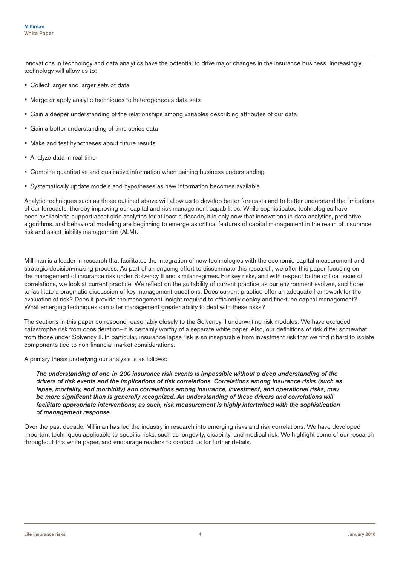Innovations in technology and data analytics have the potential to drive major changes in the insurance business. Increasingly, technology will allow us to:

- Collect larger and larger sets of data
- Merge or apply analytic techniques to heterogeneous data sets
- Gain a deeper understanding of the relationships among variables describing attributes of our data
- Gain a better understanding of time series data
- Make and test hypotheses about future results
- Analyze data in real time
- Combine quantitative and qualitative information when gaining business understanding
- Systematically update models and hypotheses as new information becomes available

Analytic techniques such as those outlined above will allow us to develop better forecasts and to better understand the limitations of our forecasts, thereby improving our capital and risk management capabilities. While sophisticated technologies have been available to support asset side analytics for at least a decade, it is only now that innovations in data analytics, predictive algorithms, and behavioral modeling are beginning to emerge as critical features of capital management in the realm of insurance risk and asset-liability management (ALM).

Milliman is a leader in research that facilitates the integration of new technologies with the economic capital measurement and strategic decision-making process. As part of an ongoing effort to disseminate this research, we offer this paper focusing on the management of insurance risk under Solvency II and similar regimes. For key risks, and with respect to the critical issue of correlations, we look at current practice. We reflect on the suitability of current practice as our environment evolves, and hope to facilitate a pragmatic discussion of key management questions. Does current practice offer an adequate framework for the evaluation of risk? Does it provide the management insight required to efficiently deploy and fine-tune capital management? What emerging techniques can offer management greater ability to deal with these risks?

The sections in this paper correspond reasonably closely to the Solvency II underwriting risk modules. We have excluded catastrophe risk from consideration—it is certainly worthy of a separate white paper. Also, our definitions of risk differ somewhat from those under Solvency II. In particular, insurance lapse risk is so inseparable from investment risk that we find it hard to isolate components tied to non-financial market considerations.

A primary thesis underlying our analysis is as follows:

*The understanding of one-in-200 insurance risk events is impossible without a deep understanding of the drivers of risk events and the implications of risk correlations. Correlations among insurance risks (such as lapse, mortality, and morbidity) and correlations among insurance, investment, and operational risks, may be more significant than is generally recognized. An understanding of these drivers and correlations will facilitate appropriate interventions; as such, risk measurement is highly intertwined with the sophistication of management response.*

Over the past decade, Milliman has led the industry in research into emerging risks and risk correlations. We have developed important techniques applicable to specific risks, such as longevity, disability, and medical risk. We highlight some of our research throughout this white paper, and encourage readers to contact us for further details.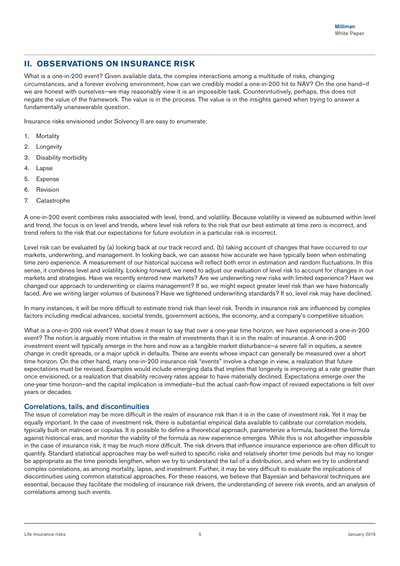# **II. OBSERVATIONS ON INSURANCE RISK**

What is a one-in-200 event? Given available data, the complex interactions among a multitude of risks, changing circumstances, and a forever evolving environment, how can we credibly model a one-in-200 hit to NAV? On the one hand—if we are honest with ourselves—we may reasonably view it is an impossible task. Counterintuitively, perhaps, this does not negate the value of the framework. The value is in the process. The value is in the insights gained when trying to answer a fundamentally unanswerable question.

Insurance risks envisioned under Solvency II are easy to enumerate:

- 1. Mortality
- 2. Longevity
- 3. Disability morbidity
- 4. Lapse
- 5. Expense
- 6. Revision
- 7. Catastrophe

A one-in-200 event combines risks associated with level, trend, and volatility. Because volatility is viewed as subsumed within level and trend, the focus is on level and trends, where level risk refers to the risk that our best estimate at time zero is incorrect, and trend refers to the risk that our expectations for future evolution in a particular risk is incorrect.

Level risk can be evaluated by (a) looking back at our track record and, (b) taking account of changes that have occurred to our markets, underwriting, and management. In looking back, we can assess how accurate we have typically been when estimating time zero experience. A measurement of our historical success will reflect both error in estimation and random fluctuations. In this sense, it combines level and volatility. Looking forward, we need to adjust our evaluation of level risk to account for changes in our markets and strategies. Have we recently entered new markets? Are we underwriting new risks with limited experience? Have we changed our approach to underwriting or claims management? If so, we might expect greater level risk than we have historically faced. Are we writing larger volumes of business? Have we tightened underwriting standards? If so, level risk may have declined.

In many instances, it will be more difficult to estimate trend risk than level risk. Trends in insurance risk are influenced by complex factors including medical advances, societal trends, government actions, the economy, and a company's competitive situation.

What is a one-in-200 risk event? What does it mean to say that over a one-year time horizon, we have experienced a one-in-200 event? The notion is arguably more intuitive in the realm of investments than it is in the realm of insurance. A one-in-200 investment event will typically emerge in the here and now as a tangible market disturbance—a severe fall in equities, a severe change in credit spreads, or a major uptick in defaults. These are events whose impact can generally be measured over a short time horizon. On the other hand, many one-in-200 insurance risk "events" involve a change in view, a realization that future expectations must be revised. Examples would include emerging data that implies that longevity is improving at a rate greater than once envisioned, or a realization that disability recovery rates appear to have materially declined. Expectations emerge over the one-year time horizon—and the capital implication is immediate—but the actual cash-flow impact of revised expectations is felt over years or decades.

## Correlations, tails, and discontinuities

The issue of correlation may be more difficult in the realm of insurance risk than it is in the case of investment risk. Yet it may be equally important. In the case of investment risk, there is substantial empirical data available to calibrate our correlation models, typically built on matrices or copulas. It is possible to define a theoretical approach, parameterize a formula, backtest the formula against historical eras, and monitor the viability of the formula as new experience emerges. While this is not altogether impossible in the case of insurance risk, it may be much more difficult. The risk drivers that influence insurance experience are often difficult to quantify. Standard statistical approaches may be well-suited to specific risks and relatively shorter time periods but may no longer be appropriate as the time periods lengthen, when we try to understand the tail of a distribution, and when we try to understand complex correlations, as among mortality, lapse, and investment. Further, it may be very difficult to evaluate the implications of discontinuities using common statistical approaches. For these reasons, we believe that Bayesian and behavioral techniques are essential, because they facilitate the modeling of insurance risk drivers, the understanding of severe risk events, and an analysis of correlations among such events.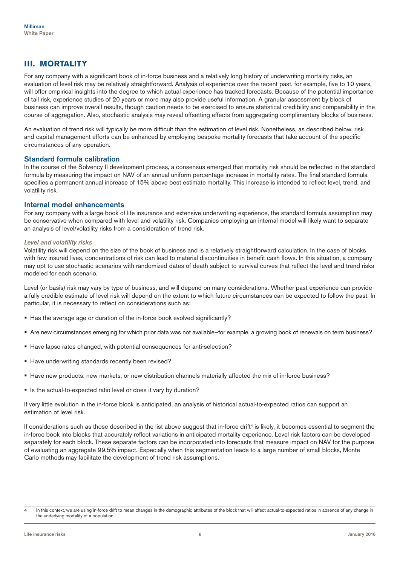# **III. MORTALITY**

For any company with a significant book of in-force business and a relatively long history of underwriting mortality risks, an evaluation of level risk may be relatively straightforward. Analysis of experience over the recent past, for example, five to 10 years, will offer empirical insights into the degree to which actual experience has tracked forecasts. Because of the potential importance of tail risk, experience studies of 20 years or more may also provide useful information. A granular assessment by block of business can improve overall results, though caution needs to be exercised to ensure statistical credibility and comparability in the course of aggregation. Also, stochastic analysis may reveal offsetting effects from aggregating complimentary blocks of business.

An evaluation of trend risk will typically be more difficult than the estimation of level risk. Nonetheless, as described below, risk and capital management efforts can be enhanced by employing bespoke mortality forecasts that take account of the specific circumstances of any operation.

#### Standard formula calibration

In the course of the Solvency II development process, a consensus emerged that mortality risk should be reflected in the standard formula by measuring the impact on NAV of an annual uniform percentage increase in mortality rates. The final standard formula specifies a permanent annual increase of 15% above best estimate mortality. This increase is intended to reflect level, trend, and volatility risk.

#### Internal model enhancements

For any company with a large book of life insurance and extensive underwriting experience, the standard formula assumption may be conservative when compared with level and volatility risk. Companies employing an internal model will likely want to separate an analysis of level/volatility risks from a consideration of trend risk.

#### *Level and volatility risks*

Volatility risk will depend on the size of the book of business and is a relatively straightforward calculation. In the case of blocks with few insured lives, concentrations of risk can lead to material discontinuities in benefit cash flows. In this situation, a company may opt to use stochastic scenarios with randomized dates of death subject to survival curves that reflect the level and trend risks modeled for each scenario.

Level (or basis) risk may vary by type of business, and will depend on many considerations. Whether past experience can provide a fully credible estimate of level risk will depend on the extent to which future circumstances can be expected to follow the past. In particular, it is necessary to reflect on considerations such as:

- Has the average age or duration of the in-force book evolved significantly?
- Are new circumstances emerging for which prior data was not available—for example, a growing book of renewals on term business?
- Have lapse rates changed, with potential consequences for anti-selection?
- Have underwriting standards recently been revised?
- Have new products, new markets, or new distribution channels materially affected the mix of in-force business?
- Is the actual-to-expected ratio level or does it vary by duration?

If very little evolution in the in-force block is anticipated, an analysis of historical actual-to-expected ratios can support an estimation of level risk.

If considerations such as those described in the list above suggest that in-force drift<sup>4</sup> is likely, it becomes essential to segment the in-force book into blocks that accurately reflect variations in anticipated mortality experience. Level risk factors can be developed separately for each block. These separate factors can be incorporated into forecasts that measure impact on NAV for the purpose of evaluating an aggregate 99.5% impact. Especially when this segmentation leads to a large number of small blocks, Monte Carlo methods may facilitate the development of trend risk assumptions.

<sup>4</sup> In this context, we are using in-force drift to mean changes in the demographic attributes of the block that will affect actual-to-expected ratios in absence of any change in the underlying mortality of a population.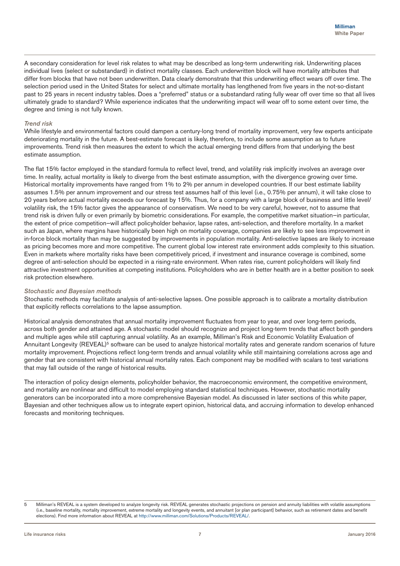A secondary consideration for level risk relates to what may be described as long-term underwriting risk. Underwriting places individual lives (select or substandard) in distinct mortality classes. Each underwritten block will have mortality attributes that differ from blocks that have not been underwritten. Data clearly demonstrate that this underwriting effect wears off over time. The selection period used in the United States for select and ultimate mortality has lengthened from five years in the not-so-distant past to 25 years in recent industry tables. Does a "preferred" status or a substandard rating fully wear off over time so that all lives ultimately grade to standard? While experience indicates that the underwriting impact will wear off to some extent over time, the degree and timing is not fully known.

#### *Trend risk*

While lifestyle and environmental factors could dampen a century-long trend of mortality improvement, very few experts anticipate deteriorating mortality in the future. A best-estimate forecast is likely, therefore, to include some assumption as to future improvements. Trend risk then measures the extent to which the actual emerging trend differs from that underlying the best estimate assumption.

The flat 15% factor employed in the standard formula to reflect level, trend, and volatility risk implicitly involves an average over time. In reality, actual mortality is likely to diverge from the best estimate assumption, with the divergence growing over time. Historical mortality improvements have ranged from 1% to 2% per annum in developed countries. If our best estimate liability assumes 1.5% per annum improvement and our stress test assumes half of this level (i.e., 0.75% per annum), it will take close to 20 years before actual mortality exceeds our forecast by 15%. Thus, for a company with a large block of business and little level/ volatility risk, the 15% factor gives the appearance of conservatism. We need to be very careful, however, not to assume that trend risk is driven fully or even primarily by biometric considerations. For example, the competitive market situation—in particular, the extent of price competition—will affect policyholder behavior, lapse rates, anti-selection, and therefore mortality. In a market such as Japan, where margins have historically been high on mortality coverage, companies are likely to see less improvement in in-force block mortality than may be suggested by improvements in population mortality. Anti-selective lapses are likely to increase as pricing becomes more and more competitive. The current global low interest rate environment adds complexity to this situation. Even in markets where mortality risks have been competitively priced, if investment and insurance coverage is combined, some degree of anti-selection should be expected in a rising-rate environment. When rates rise, current policyholders will likely find attractive investment opportunities at competing institutions. Policyholders who are in better health are in a better position to seek risk protection elsewhere.

#### *Stochastic and Bayesian methods*

Stochastic methods may facilitate analysis of anti-selective lapses. One possible approach is to calibrate a mortality distribution that explicitly reflects correlations to the lapse assumption.

Historical analysis demonstrates that annual mortality improvement fluctuates from year to year, and over long-term periods, across both gender and attained age. A stochastic model should recognize and project long-term trends that affect both genders and multiple ages while still capturing annual volatility. As an example, Milliman's Risk and Economic Volatility Evaluation of Annuitant Longevity (REVEAL)<sup>5</sup> software can be used to analyze historical mortality rates and generate random scenarios of future mortality improvement. Projections reflect long-term trends and annual volatility while still maintaining correlations across age and gender that are consistent with historical annual mortality rates. Each component may be modified with scalars to test variations that may fall outside of the range of historical results.

The interaction of policy design elements, policyholder behavior, the macroeconomic environment, the competitive environment, and mortality are nonlinear and difficult to model employing standard statistical techniques. However, stochastic mortality generators can be incorporated into a more comprehensive Bayesian model. As discussed in later sections of this white paper, Bayesian and other techniques allow us to integrate expert opinion, historical data, and accruing information to develop enhanced forecasts and monitoring techniques.

<sup>5</sup> Milliman's REVEAL is a system developed to analyze longevity risk. REVEAL generates stochastic projections on pension and annuity liabilities with volatile assumptions (i.e., baseline mortality, mortality improvement, extreme mortality and longevity events, and annuitant [or plan participant] behavior, such as retirement dates and benefit elections). Find more information about REVEAL at http://www.milliman.com/Solutions/Products/REVEAL/.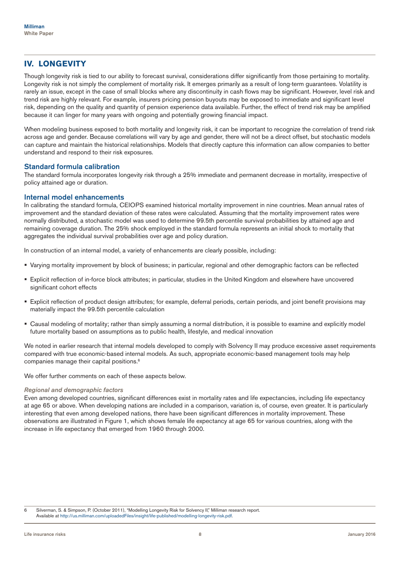# **IV. LONGEVITY**

Though longevity risk is tied to our ability to forecast survival, considerations differ significantly from those pertaining to mortality. Longevity risk is not simply the complement of mortality risk. It emerges primarily as a result of long-term guarantees. Volatility is rarely an issue, except in the case of small blocks where any discontinuity in cash flows may be significant. However, level risk and trend risk are highly relevant. For example, insurers pricing pension buyouts may be exposed to immediate and significant level risk, depending on the quality and quantity of pension experience data available. Further, the effect of trend risk may be amplified because it can linger for many years with ongoing and potentially growing financial impact.

When modeling business exposed to both mortality and longevity risk, it can be important to recognize the correlation of trend risk across age and gender. Because correlations will vary by age and gender, there will not be a direct offset, but stochastic models can capture and maintain the historical relationships. Models that directly capture this information can allow companies to better understand and respond to their risk exposures.

## Standard formula calibration

The standard formula incorporates longevity risk through a 25% immediate and permanent decrease in mortality, irrespective of policy attained age or duration.

## Internal model enhancements

In calibrating the standard formula, CEIOPS examined historical mortality improvement in nine countries. Mean annual rates of improvement and the standard deviation of these rates were calculated. Assuming that the mortality improvement rates were normally distributed, a stochastic model was used to determine 99.5th percentile survival probabilities by attained age and remaining coverage duration. The 25% shock employed in the standard formula represents an initial shock to mortality that aggregates the individual survival probabilities over age and policy duration.

In construction of an internal model, a variety of enhancements are clearly possible, including:

- Varying mortality improvement by block of business; in particular, regional and other demographic factors can be reflected
- Explicit reflection of in-force block attributes; in particular, studies in the United Kingdom and elsewhere have uncovered significant cohort effects
- Explicit reflection of product design attributes; for example, deferral periods, certain periods, and joint benefit provisions may materially impact the 99.5th percentile calculation
- Causal modeling of mortality; rather than simply assuming a normal distribution, it is possible to examine and explicitly model future mortality based on assumptions as to public health, lifestyle, and medical innovation

We noted in earlier research that internal models developed to comply with Solvency II may produce excessive asset requirements compared with true economic-based internal models. As such, appropriate economic-based management tools may help companies manage their capital positions.6

We offer further comments on each of these aspects below.

#### *Regional and demographic factors*

Even among developed countries, significant differences exist in mortality rates and life expectancies, including life expectancy at age 65 or above. When developing nations are included in a comparison, variation is, of course, even greater. It is particularly interesting that even among developed nations, there have been significant differences in mortality improvement. These observations are illustrated in Figure 1, which shows female life expectancy at age 65 for various countries, along with the increase in life expectancy that emerged from 1960 through 2000.

6 Silverman, S. & Simpson, P. (October 2011), "Modelling Longevity Risk for Solvency II," Milliman research report. Available at http://us.milliman.com/uploadedFiles/insight/life-published/modelling-longevity-risk.pdf.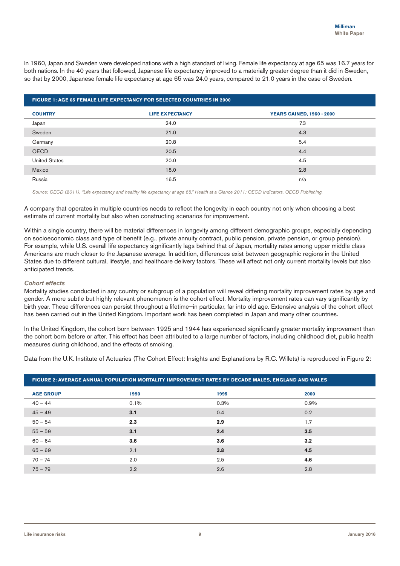In 1960, Japan and Sweden were developed nations with a high standard of living. Female life expectancy at age 65 was 16.7 years for both nations. In the 40 years that followed, Japanese life expectancy improved to a materially greater degree than it did in Sweden, so that by 2000, Japanese female life expectancy at age 65 was 24.0 years, compared to 21.0 years in the case of Sweden.

| <b>FIGURE 1: AGE 65 FEMALE LIFE EXPECTANCY FOR SELECTED COUNTRIES IN 2000</b> |                        |                                  |  |  |  |  |  |  |
|-------------------------------------------------------------------------------|------------------------|----------------------------------|--|--|--|--|--|--|
| <b>COUNTRY</b>                                                                | <b>LIFE EXPECTANCY</b> | <b>YEARS GAINED, 1960 - 2000</b> |  |  |  |  |  |  |
| Japan                                                                         | 24.0                   | 7.3                              |  |  |  |  |  |  |
| Sweden                                                                        | 21.0                   | 4.3                              |  |  |  |  |  |  |
| Germany                                                                       | 20.8                   | 5.4                              |  |  |  |  |  |  |
| <b>OECD</b>                                                                   | 20.5                   | 4.4                              |  |  |  |  |  |  |
| <b>United States</b>                                                          | 20.0                   | 4.5                              |  |  |  |  |  |  |
| Mexico                                                                        | 18.0                   | 2.8                              |  |  |  |  |  |  |
| Russia                                                                        | 16.5                   | n/a                              |  |  |  |  |  |  |

*Source: OECD (2011), "Life expectancy and healthy life expectancy at age 65," Health at a Glance 2011: OECD Indicators, OECD Publishing.*

A company that operates in multiple countries needs to reflect the longevity in each country not only when choosing a best estimate of current mortality but also when constructing scenarios for improvement.

Within a single country, there will be material differences in longevity among different demographic groups, especially depending on socioeconomic class and type of benefit (e.g., private annuity contract, public pension, private pension, or group pension). For example, while U.S. overall life expectancy significantly lags behind that of Japan, mortality rates among upper middle class Americans are much closer to the Japanese average. In addition, differences exist between geographic regions in the United States due to different cultural, lifestyle, and healthcare delivery factors. These will affect not only current mortality levels but also anticipated trends.

#### *Cohort effects*

Mortality studies conducted in any country or subgroup of a population will reveal differing mortality improvement rates by age and gender. A more subtle but highly relevant phenomenon is the cohort effect. Mortality improvement rates can vary significantly by birth year. These differences can persist throughout a lifetime—in particular, far into old age. Extensive analysis of the cohort effect has been carried out in the United Kingdom. Important work has been completed in Japan and many other countries.

In the United Kingdom, the cohort born between 1925 and 1944 has experienced significantly greater mortality improvement than the cohort born before or after. This effect has been attributed to a large number of factors, including childhood diet, public health measures during childhood, and the effects of smoking.

Data from the U.K. Institute of Actuaries (The Cohort Effect: Insights and Explanations by R.C. Willets) is reproduced in Figure 2:

| FIGURE 2: AVERAGE ANNUAL POPULATION MORTALITY IMPROVEMENT RATES BY DECADE MALES, ENGLAND AND WALES |         |      |      |  |  |  |  |
|----------------------------------------------------------------------------------------------------|---------|------|------|--|--|--|--|
| <b>AGE GROUP</b>                                                                                   | 1990    | 1995 | 2000 |  |  |  |  |
| $40 - 44$                                                                                          | $0.1\%$ | 0.3% | 0.9% |  |  |  |  |
| $45 - 49$                                                                                          | 3.1     | 0.4  | 0.2  |  |  |  |  |
| $50 - 54$                                                                                          | 2.3     | 2.9  | 1.7  |  |  |  |  |
| $55 - 59$                                                                                          | 3.1     | 2.4  | 3.5  |  |  |  |  |
| $60 - 64$                                                                                          | 3.6     | 3.6  | 3.2  |  |  |  |  |
| $65 - 69$                                                                                          | 2.1     | 3.8  | 4.5  |  |  |  |  |
| $70 - 74$                                                                                          | 2.0     | 2.5  | 4.6  |  |  |  |  |
| $75 - 79$                                                                                          | 2.2     | 2.6  | 2.8  |  |  |  |  |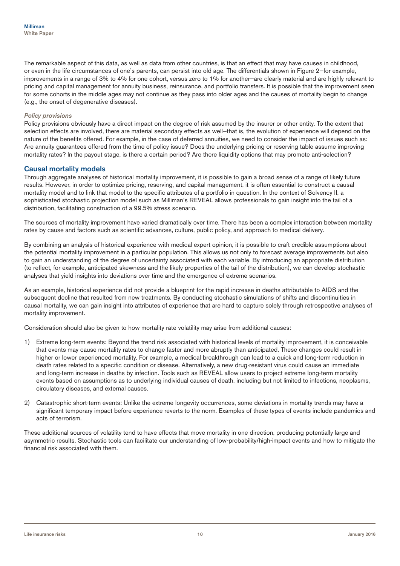The remarkable aspect of this data, as well as data from other countries, is that an effect that may have causes in childhood, or even in the life circumstances of one's parents, can persist into old age. The differentials shown in Figure 2—for example, improvements in a range of 3% to 4% for one cohort, versus zero to 1% for another—are clearly material and are highly relevant to pricing and capital management for annuity business, reinsurance, and portfolio transfers. It is possible that the improvement seen for some cohorts in the middle ages may not continue as they pass into older ages and the causes of mortality begin to change (e.g., the onset of degenerative diseases).

#### *Policy provisions*

Policy provisions obviously have a direct impact on the degree of risk assumed by the insurer or other entity. To the extent that selection effects are involved, there are material secondary effects as well-that is, the evolution of experience will depend on the nature of the benefits offered. For example, in the case of deferred annuities, we need to consider the impact of issues such as: Are annuity guarantees offered from the time of policy issue? Does the underlying pricing or reserving table assume improving mortality rates? In the payout stage, is there a certain period? Are there liquidity options that may promote anti-selection?

## Causal mortality models

Through aggregate analyses of historical mortality improvement, it is possible to gain a broad sense of a range of likely future results. However, in order to optimize pricing, reserving, and capital management, it is often essential to construct a causal mortality model and to link that model to the specific attributes of a portfolio in question. In the context of Solvency II, a sophisticated stochastic projection model such as Milliman's REVEAL allows professionals to gain insight into the tail of a distribution, facilitating construction of a 99.5% stress scenario.

The sources of mortality improvement have varied dramatically over time. There has been a complex interaction between mortality rates by cause and factors such as scientific advances, culture, public policy, and approach to medical delivery.

By combining an analysis of historical experience with medical expert opinion, it is possible to craft credible assumptions about the potential mortality improvement in a particular population. This allows us not only to forecast average improvements but also to gain an understanding of the degree of uncertainty associated with each variable. By introducing an appropriate distribution (to reflect, for example, anticipated skewness and the likely properties of the tail of the distribution), we can develop stochastic analyses that yield insights into deviations over time and the emergence of extreme scenarios.

As an example, historical experience did not provide a blueprint for the rapid increase in deaths attributable to AIDS and the subsequent decline that resulted from new treatments. By conducting stochastic simulations of shifts and discontinuities in causal mortality, we can gain insight into attributes of experience that are hard to capture solely through retrospective analyses of mortality improvement.

Consideration should also be given to how mortality rate volatility may arise from additional causes:

- 1) Extreme long-term events: Beyond the trend risk associated with historical levels of mortality improvement, it is conceivable that events may cause mortality rates to change faster and more abruptly than anticipated. These changes could result in higher or lower experienced mortality. For example, a medical breakthrough can lead to a quick and long-term reduction in death rates related to a specific condition or disease. Alternatively, a new drug-resistant virus could cause an immediate and long-term increase in deaths by infection. Tools such as REVEAL allow users to project extreme long-term mortality events based on assumptions as to underlying individual causes of death, including but not limited to infections, neoplasms, circulatory diseases, and external causes.
- 2) Catastrophic short-term events: Unlike the extreme longevity occurrences, some deviations in mortality trends may have a significant temporary impact before experience reverts to the norm. Examples of these types of events include pandemics and acts of terrorism.

These additional sources of volatility tend to have effects that move mortality in one direction, producing potentially large and asymmetric results. Stochastic tools can facilitate our understanding of low-probability/high-impact events and how to mitigate the financial risk associated with them.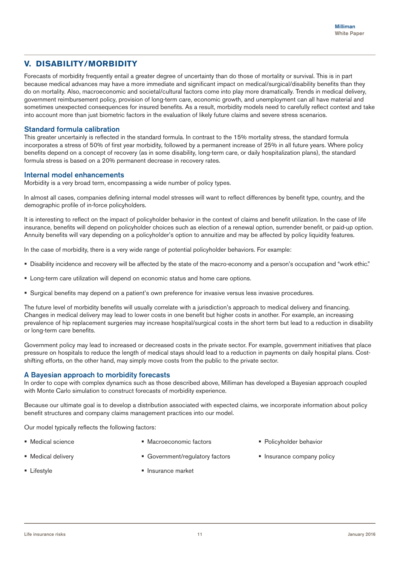# **V. DISABILITY/MORBIDITY**

Forecasts of morbidity frequently entail a greater degree of uncertainty than do those of mortality or survival. This is in part because medical advances may have a more immediate and significant impact on medical/surgical/disability benefits than they do on mortality. Also, macroeconomic and societal/cultural factors come into play more dramatically. Trends in medical delivery, government reimbursement policy, provision of long-term care, economic growth, and unemployment can all have material and sometimes unexpected consequences for insured benefits. As a result, morbidity models need to carefully reflect context and take into account more than just biometric factors in the evaluation of likely future claims and severe stress scenarios.

## Standard formula calibration

This greater uncertainly is reflected in the standard formula. In contrast to the 15% mortality stress, the standard formula incorporates a stress of 50% of first year morbidity, followed by a permanent increase of 25% in all future years. Where policy benefits depend on a concept of recovery (as in some disability, long-term care, or daily hospitalization plans), the standard formula stress is based on a 20% permanent decrease in recovery rates.

## Internal model enhancements

Morbidity is a very broad term, encompassing a wide number of policy types.

In almost all cases, companies defining internal model stresses will want to reflect differences by benefit type, country, and the demographic profile of in-force policyholders.

It is interesting to reflect on the impact of policyholder behavior in the context of claims and benefit utilization. In the case of life insurance, benefits will depend on policyholder choices such as election of a renewal option, surrender benefit, or paid-up option. Annuity benefits will vary depending on a policyholder's option to annuitize and may be affected by policy liquidity features.

In the case of morbidity, there is a very wide range of potential policyholder behaviors. For example:

- Disability incidence and recovery will be affected by the state of the macro-economy and a person's occupation and "work ethic."
- **EXECT:** Long-term care utilization will depend on economic status and home care options.
- Surgical benefits may depend on a patient's own preference for invasive versus less invasive procedures.

The future level of morbidity benefits will usually correlate with a jurisdiction's approach to medical delivery and financing. Changes in medical delivery may lead to lower costs in one benefit but higher costs in another. For example, an increasing prevalence of hip replacement surgeries may increase hospital/surgical costs in the short term but lead to a reduction in disability or long-term care benefits.

Government policy may lead to increased or decreased costs in the private sector. For example, government initiatives that place pressure on hospitals to reduce the length of medical stays should lead to a reduction in payments on daily hospital plans. Costshifting efforts, on the other hand, may simply move costs from the public to the private sector.

# A Bayesian approach to morbidity forecasts

In order to cope with complex dynamics such as those described above, Milliman has developed a Bayesian approach coupled with Monte Carlo simulation to construct forecasts of morbidity experience.

Because our ultimate goal is to develop a distribution associated with expected claims, we incorporate information about policy benefit structures and company claims management practices into our model.

Our model typically reflects the following factors:

**Medical science** 

- Macroeconomic factors
- **Policyholder behavior**

**Insurance company policy** 

**Medical delivery** 

Government/regulatory factors

**Insurance market** 

- **E** Lifestyle
-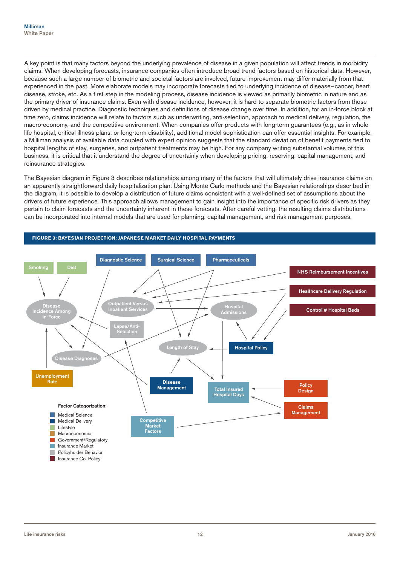A key point is that many factors beyond the underlying prevalence of disease in a given population will affect trends in morbidity claims. When developing forecasts, insurance companies often introduce broad trend factors based on historical data. However, because such a large number of biometric and societal factors are involved, future improvement may differ materially from that experienced in the past. More elaborate models may incorporate forecasts tied to underlying incidence of disease—cancer, heart disease, stroke, etc. As a first step in the modeling process, disease incidence is viewed as primarily biometric in nature and as the primary driver of insurance claims. Even with disease incidence, however, it is hard to separate biometric factors from those driven by medical practice. Diagnostic techniques and definitions of disease change over time. In addition, for an in-force block at time zero, claims incidence will relate to factors such as underwriting, anti-selection, approach to medical delivery, regulation, the macro-economy, and the competitive environment. When companies offer products with long-term guarantees (e.g., as in whole life hospital, critical illness plans, or long-term disability), additional model sophistication can offer essential insights. For example, a Milliman analysis of available data coupled with expert opinion suggests that the standard deviation of benefit payments tied to hospital lengths of stay, surgeries, and outpatient treatments may be high. For any company writing substantial volumes of this business, it is critical that it understand the degree of uncertainly when developing pricing, reserving, capital management, and reinsurance strategies.

The Bayesian diagram in Figure 3 describes relationships among many of the factors that will ultimately drive insurance claims on an apparently straightforward daily hospitalization plan. Using Monte Carlo methods and the Bayesian relationships described in the diagram, it is possible to develop a distribution of future claims consistent with a well-defined set of assumptions about the drivers of future experience. This approach allows management to gain insight into the importance of specific risk drivers as they pertain to claim forecasts and the uncertainty inherent in these forecasts. After careful vetting, the resulting claims distributions can be incorporated into internal models that are used for planning, capital management, and risk management purposes.

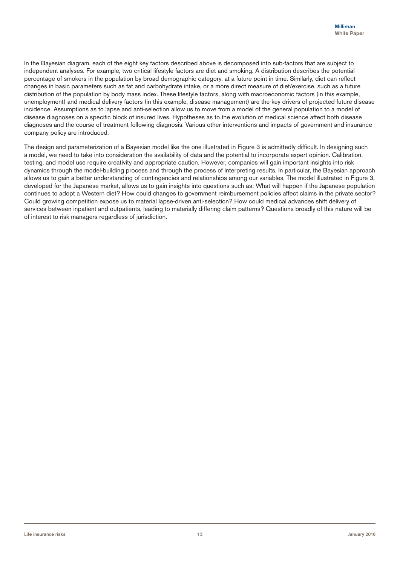In the Bayesian diagram, each of the eight key factors described above is decomposed into sub-factors that are subject to independent analyses. For example, two critical lifestyle factors are diet and smoking. A distribution describes the potential percentage of smokers in the population by broad demographic category, at a future point in time. Similarly, diet can reflect changes in basic parameters such as fat and carbohydrate intake, or a more direct measure of diet/exercise, such as a future distribution of the population by body mass index. These lifestyle factors, along with macroeconomic factors (in this example, unemployment) and medical delivery factors (in this example, disease management) are the key drivers of projected future disease incidence. Assumptions as to lapse and anti-selection allow us to move from a model of the general population to a model of disease diagnoses on a specific block of insured lives. Hypotheses as to the evolution of medical science affect both disease diagnoses and the course of treatment following diagnosis. Various other interventions and impacts of government and insurance company policy are introduced.

The design and parameterization of a Bayesian model like the one illustrated in Figure 3 is admittedly difficult. In designing such a model, we need to take into consideration the availability of data and the potential to incorporate expert opinion. Calibration, testing, and model use require creativity and appropriate caution. However, companies will gain important insights into risk dynamics through the model-building process and through the process of interpreting results. In particular, the Bayesian approach allows us to gain a better understanding of contingencies and relationships among our variables. The model illustrated in Figure 3, developed for the Japanese market, allows us to gain insights into questions such as: What will happen if the Japanese population continues to adopt a Western diet? How could changes to government reimbursement policies affect claims in the private sector? Could growing competition expose us to material lapse-driven anti-selection? How could medical advances shift delivery of services between inpatient and outpatients, leading to materially differing claim patterns? Questions broadly of this nature will be of interest to risk managers regardless of jurisdiction.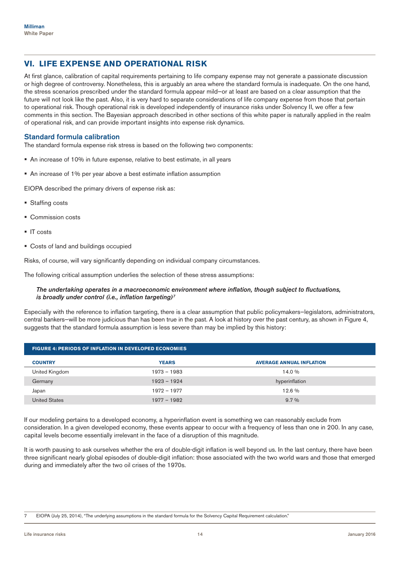# **VI. LIFE EXPENSE AND OPERATIONAL RISK**

At first glance, calibration of capital requirements pertaining to life company expense may not generate a passionate discussion or high degree of controversy. Nonetheless, this is arguably an area where the standard formula is inadequate. On the one hand, the stress scenarios prescribed under the standard formula appear mild—or at least are based on a clear assumption that the future will not look like the past. Also, it is very hard to separate considerations of life company expense from those that pertain to operational risk. Though operational risk is developed independently of insurance risks under Solvency II, we offer a few comments in this section. The Bayesian approach described in other sections of this white paper is naturally applied in the realm of operational risk, and can provide important insights into expense risk dynamics.

## Standard formula calibration

The standard formula expense risk stress is based on the following two components:

- An increase of 10% in future expense, relative to best estimate, in all years
- An increase of 1% per year above a best estimate inflation assumption

EIOPA described the primary drivers of expense risk as:

- Staffing costs
- **Commission costs**
- IT costs
- Costs of land and buildings occupied

Risks, of course, will vary significantly depending on individual company circumstances.

The following critical assumption underlies the selection of these stress assumptions:

#### *The undertaking operates in a macroeconomic environment where inflation, though subject to fluctuations, is broadly under control (i.e., inflation targeting)7*

Especially with the reference to inflation targeting, there is a clear assumption that public policymakers—legislators, administrators, central bankers—will be more judicious than has been true in the past. A look at history over the past century, as shown in Figure 4, suggests that the standard formula assumption is less severe than may be implied by this history:

| <b>FIGURE 4: PERIODS OF INFLATION IN DEVELOPED ECONOMIES</b> |               |                                 |  |  |  |  |  |
|--------------------------------------------------------------|---------------|---------------------------------|--|--|--|--|--|
| <b>COUNTRY</b>                                               | <b>YEARS</b>  | <b>AVERAGE ANNUAL INFLATION</b> |  |  |  |  |  |
| United Kingdom                                               | 1973 - 1983   | 14.0 %                          |  |  |  |  |  |
| Germany                                                      | $1923 - 1924$ | hyperinflation                  |  |  |  |  |  |
| Japan                                                        | 1972 - 1977   | 12.6%                           |  |  |  |  |  |
| <b>United States</b>                                         | $1977 - 1982$ | $9.7\%$                         |  |  |  |  |  |

If our modeling pertains to a developed economy, a hyperinflation event is something we can reasonably exclude from consideration. In a given developed economy, these events appear to occur with a frequency of less than one in 200. In any case, capital levels become essentially irrelevant in the face of a disruption of this magnitude.

It is worth pausing to ask ourselves whether the era of double-digit inflation is well beyond us. In the last century, there have been three significant nearly global episodes of double-digit inflation: those associated with the two world wars and those that emerged during and immediately after the two oil crises of the 1970s.

<sup>7</sup> EIOPA (July 25, 2014), "The underlying assumptions in the standard formula for the Solvency Capital Requirement calculation."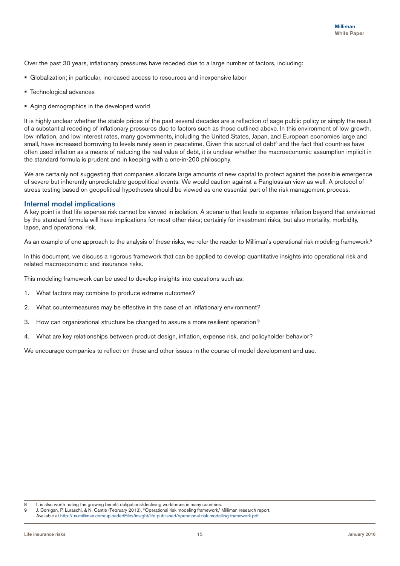Over the past 30 years, inflationary pressures have receded due to a large number of factors, including:

- Globalization; in particular, increased access to resources and inexpensive labor
- Technological advances
- **Aging demographics in the developed world**

It is highly unclear whether the stable prices of the past several decades are a reflection of sage public policy or simply the result of a substantial receding of inflationary pressures due to factors such as those outlined above. In this environment of low growth, low inflation, and low interest rates, many governments, including the United States, Japan, and European economies large and small, have increased borrowing to levels rarely seen in peacetime. Given this accrual of debt<sup>8</sup> and the fact that countries have often used inflation as a means of reducing the real value of debt, it is unclear whether the macroeconomic assumption implicit in the standard formula is prudent and in keeping with a one-in-200 philosophy.

We are certainly not suggesting that companies allocate large amounts of new capital to protect against the possible emergence of severe but inherently unpredictable geopolitical events. We would caution against a Panglossian view as well. A protocol of stress testing based on geopolitical hypotheses should be viewed as one essential part of the risk management process.

#### Internal model implications

A key point is that life expense risk cannot be viewed in isolation. A scenario that leads to expense inflation beyond that envisioned by the standard formula will have implications for most other risks; certainly for investment risks, but also mortality, morbidity, lapse, and operational risk.

As an example of one approach to the analysis of these risks, we refer the reader to Milliman's operational risk modeling framework.<sup>9</sup>

In this document, we discuss a rigorous framework that can be applied to develop quantitative insights into operational risk and related macroeconomic and insurance risks.

This modeling framework can be used to develop insights into questions such as:

- 1. What factors may combine to produce extreme outcomes?
- 2. What countermeasures may be effective in the case of an inflationary environment?
- 3. How can organizational structure be changed to assure a more resilient operation?
- 4. What are key relationships between product design, inflation, expense risk, and policyholder behavior?

We encourage companies to reflect on these and other issues in the course of model development and use.

<sup>8</sup> It is also worth noting the growing benefit obligations/declining workforces in many countries.

<sup>9</sup> J. Corrigan, P. Luraschi, & N. Cantle (February 2013), "Operational risk modeling framework," Milliman research report. Available at http://us.milliman.com/uploadedFiles/insight/life-published/operational-risk-modelling-framework.pdf.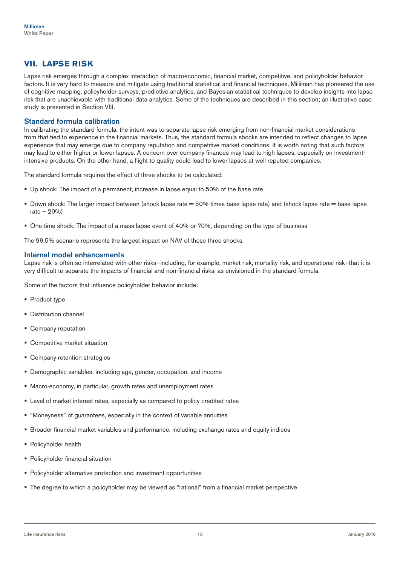# **VII. LAPSE RISK**

Lapse risk emerges through a complex interaction of macroeconomic, financial market, competitive, and policyholder behavior factors. It is very hard to measure and mitigate using traditional statistical and financial techniques. Milliman has pioneered the use of cognitive mapping, policyholder surveys, predictive analytics, and Bayesian statistical techniques to develop insights into lapse risk that are unachievable with traditional data analytics. Some of the techniques are described in this section; an illustrative case study is presented in Section VIII.

## Standard formula calibration

In calibrating the standard formula, the intent was to separate lapse risk emerging from non-financial market considerations from that tied to experience in the financial markets. Thus, the standard formula shocks are intended to reflect changes to lapse experience that may emerge due to company reputation and competitive market conditions. It is worth noting that such factors may lead to either higher or lower lapses. A concern over company finances may lead to high lapses, especially on investmentintensive products. On the other hand, a flight to quality could lead to lower lapses at well reputed companies.

The standard formula requires the effect of three shocks to be calculated:

- Up shock: The impact of a permanent, increase in lapse equal to 50% of the base rate
- Down shock: The larger impact between (shock lapse rate  $=$  50% times base lapse rate) and (shock lapse rate  $=$  base lapse rate – 20%)
- One-time shock: The impact of a mass lapse event of 40% or 70%, depending on the type of business

The 99.5% scenario represents the largest impact on NAV of these three shocks.

#### Internal model enhancements

Lapse risk is often so interrelated with other risks—including, for example, market risk, mortality risk, and operational risk—that it is very difficult to separate the impacts of financial and non-financial risks, as envisioned in the standard formula.

Some of the factors that influence policyholder behavior include:

- Product type
- **Distribution channel**
- Company reputation
- **Competitive market situation**
- Company retention strategies
- Demographic variables, including age, gender, occupation, and income
- Macro-economy, in particular, growth rates and unemployment rates
- Level of market interest rates, especially as compared to policy credited rates
- "Moneyness" of guarantees, especially in the context of variable annuities
- Broader financial market variables and performance, including exchange rates and equity indices
- Policyholder health
- **Policyholder financial situation**
- Policyholder alternative protection and investment opportunities
- The degree to which a policyholder may be viewed as "rational" from a financial market perspective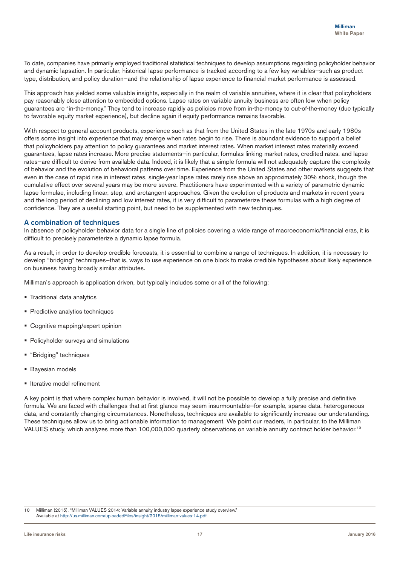To date, companies have primarily employed traditional statistical techniques to develop assumptions regarding policyholder behavior and dynamic lapsation. In particular, historical lapse performance is tracked according to a few key variables—such as product type, distribution, and policy duration—and the relationship of lapse experience to financial market performance is assessed.

This approach has yielded some valuable insights, especially in the realm of variable annuities, where it is clear that policyholders pay reasonably close attention to embedded options. Lapse rates on variable annuity business are often low when policy guarantees are "in-the-money." They tend to increase rapidly as policies move from in-the-money to out-of-the-money (due typically to favorable equity market experience), but decline again if equity performance remains favorable.

With respect to general account products, experience such as that from the United States in the late 1970s and early 1980s offers some insight into experience that may emerge when rates begin to rise. There is abundant evidence to support a belief that policyholders pay attention to policy guarantees and market interest rates. When market interest rates materially exceed guarantees, lapse rates increase. More precise statements—in particular, formulas linking market rates, credited rates, and lapse rates—are difficult to derive from available data. Indeed, it is likely that a simple formula will not adequately capture the complexity of behavior and the evolution of behavioral patterns over time. Experience from the United States and other markets suggests that even in the case of rapid rise in interest rates, single-year lapse rates rarely rise above an approximately 30% shock, though the cumulative effect over several years may be more severe. Practitioners have experimented with a variety of parametric dynamic lapse formulae, including linear, step, and arctangent approaches. Given the evolution of products and markets in recent years and the long period of declining and low interest rates, it is very difficult to parameterize these formulas with a high degree of confidence. They are a useful starting point, but need to be supplemented with new techniques.

## A combination of techniques

In absence of policyholder behavior data for a single line of policies covering a wide range of macroeconomic/financial eras, it is difficult to precisely parameterize a dynamic lapse formula.

As a result, in order to develop credible forecasts, it is essential to combine a range of techniques. In addition, it is necessary to develop "bridging" techniques—that is, ways to use experience on one block to make credible hypotheses about likely experience on business having broadly similar attributes.

Milliman's approach is application driven, but typically includes some or all of the following:

- Traditional data analytics
- **Predictive analytics techniques**
- **Cognitive mapping/expert opinion**
- **Policyholder surveys and simulations**
- "Bridging" techniques
- **Bayesian models**
- **Iterative model refinement**

A key point is that where complex human behavior is involved, it will not be possible to develop a fully precise and definitive formula. We are faced with challenges that at first glance may seem insurmountable—for example, sparse data, heterogeneous data, and constantly changing circumstances. Nonetheless, techniques are available to significantly increase our understanding. These techniques allow us to bring actionable information to management. We point our readers, in particular, to the Milliman VALUES study, which analyzes more than 100,000,000 quarterly observations on variable annuity contract holder behavior.<sup>10</sup>

10 Milliman (2015), "Milliman VALUES 2014: Variable annuity industry lapse experience study overview." Available at http://us.milliman.com/uploadedFiles/insight/2015/milliman-values-14.pdf.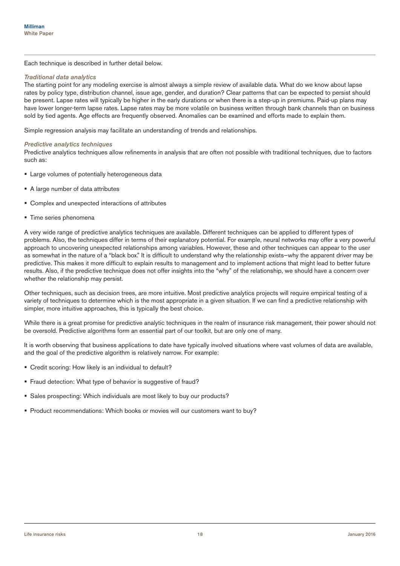Each technique is described in further detail below.

#### *Traditional data analytics*

The starting point for any modeling exercise is almost always a simple review of available data. What do we know about lapse rates by policy type, distribution channel, issue age, gender, and duration? Clear patterns that can be expected to persist should be present. Lapse rates will typically be higher in the early durations or when there is a step-up in premiums. Paid-up plans may have lower longer-term lapse rates. Lapse rates may be more volatile on business written through bank channels than on business sold by tied agents. Age effects are frequently observed. Anomalies can be examined and efforts made to explain them.

Simple regression analysis may facilitate an understanding of trends and relationships.

#### *Predictive analytics techniques*

Predictive analytics techniques allow refinements in analysis that are often not possible with traditional techniques, due to factors such as:

- **Example 2** Large volumes of potentially heterogeneous data
- A large number of data attributes
- Complex and unexpected interactions of attributes
- **Time series phenomena**

A very wide range of predictive analytics techniques are available. Different techniques can be applied to different types of problems. Also, the techniques differ in terms of their explanatory potential. For example, neural networks may offer a very powerful approach to uncovering unexpected relationships among variables. However, these and other techniques can appear to the user as somewhat in the nature of a "black box." It is difficult to understand why the relationship exists—why the apparent driver may be predictive. This makes it more difficult to explain results to management and to implement actions that might lead to better future results. Also, if the predictive technique does not offer insights into the "why" of the relationship, we should have a concern over whether the relationship may persist.

Other techniques, such as decision trees, are more intuitive. Most predictive analytics projects will require empirical testing of a variety of techniques to determine which is the most appropriate in a given situation. If we can find a predictive relationship with simpler, more intuitive approaches, this is typically the best choice.

While there is a great promise for predictive analytic techniques in the realm of insurance risk management, their power should not be oversold. Predictive algorithms form an essential part of our toolkit, but are only one of many.

It is worth observing that business applications to date have typically involved situations where vast volumes of data are available, and the goal of the predictive algorithm is relatively narrow. For example:

- Credit scoring: How likely is an individual to default?
- **Fraud detection: What type of behavior is suggestive of fraud?**
- Sales prospecting: Which individuals are most likely to buy our products?
- Product recommendations: Which books or movies will our customers want to buy?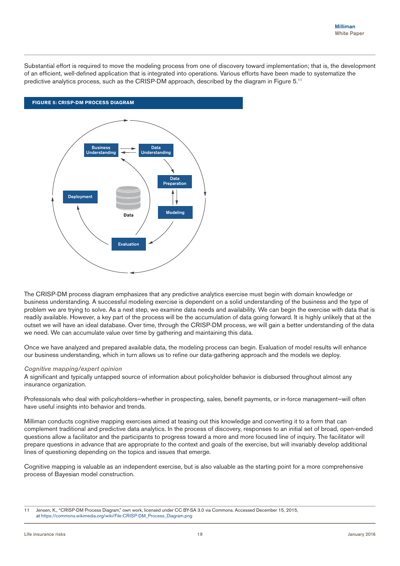Substantial effort is required to move the modeling process from one of discovery toward implementation; that is, the development of an efficient, well-defined application that is integrated into operations. Various efforts have been made to systematize the predictive analytics process, such as the CRISP-DM approach, described by the diagram in Figure 5.11



The CRISP-DM process diagram emphasizes that any predictive analytics exercise must begin with domain knowledge or business understanding. A successful modeling exercise is dependent on a solid understanding of the business and the type of problem we are trying to solve. As a next step, we examine data needs and availability. We can begin the exercise with data that is readily available. However, a key part of the process will be the accumulation of data going forward. It is highly unlikely that at the outset we will have an ideal database. Over time, through the CRISP-DM process, we will gain a better understanding of the data we need. We can accumulate value over time by gathering and maintaining this data.

Once we have analyzed and prepared available data, the modeling process can begin. Evaluation of model results will enhance our business understanding, which in turn allows us to refine our data-gathering approach and the models we deploy.

#### *Cognitive mapping/expert opinion*

A significant and typically untapped source of information about policyholder behavior is disbursed throughout almost any insurance organization.

Professionals who deal with policyholders-whether in prospecting, sales, benefit payments, or in-force management-will often have useful insights into behavior and trends.

Milliman conducts cognitive mapping exercises aimed at teasing out this knowledge and converting it to a form that can complement traditional and predictive data analytics. In the process of discovery, responses to an initial set of broad, open-ended questions allow a facilitator and the participants to progress toward a more and more focused line of inquiry. The facilitator will prepare questions in advance that are appropriate to the context and goals of the exercise, but will invariably develop additional lines of questioning depending on the topics and issues that emerge.

Cognitive mapping is valuable as an independent exercise, but is also valuable as the starting point for a more comprehensive process of Bayesian model construction.

<sup>11</sup> Jensen, K., "CRISP-DM Process Diagram," own work, licensed under CC BY-SA 3.0 via Commons. Accessed December 15, 2015, at https://commons.wikimedia.org/wiki/File:CRISP-DM\_Process\_Diagram.png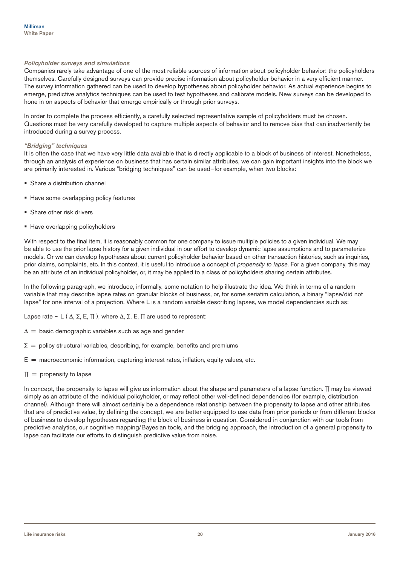#### *Policyholder surveys and simulations*

Companies rarely take advantage of one of the most reliable sources of information about policyholder behavior: the policyholders themselves. Carefully designed surveys can provide precise information about policyholder behavior in a very efficient manner. The survey information gathered can be used to develop hypotheses about policyholder behavior. As actual experience begins to emerge, predictive analytics techniques can be used to test hypotheses and calibrate models. New surveys can be developed to hone in on aspects of behavior that emerge empirically or through prior surveys.

In order to complete the process efficiently, a carefully selected representative sample of policyholders must be chosen. Questions must be very carefully developed to capture multiple aspects of behavior and to remove bias that can inadvertently be introduced during a survey process.

#### *"Bridging" techniques*

It is often the case that we have very little data available that is directly applicable to a block of business of interest. Nonetheless, through an analysis of experience on business that has certain similar attributes, we can gain important insights into the block we are primarily interested in. Various "bridging techniques" can be used—for example, when two blocks:

- Share a distribution channel
- Have some overlapping policy features
- **Share other risk drivers**
- Have overlapping policyholders

With respect to the final item, it is reasonably common for one company to issue multiple policies to a given individual. We may be able to use the prior lapse history for a given individual in our effort to develop dynamic lapse assumptions and to parameterize models. Or we can develop hypotheses about current policyholder behavior based on other transaction histories, such as inquiries, prior claims, complaints, etc. In this context, it is useful to introduce a concept of *propensity to lapse*. For a given company, this may be an attribute of an individual policyholder, or, it may be applied to a class of policyholders sharing certain attributes.

In the following paragraph, we introduce, informally, some notation to help illustrate the idea. We think in terms of a random variable that may describe lapse rates on granular blocks of business, or, for some seriatim calculation, a binary "lapse/did not lapse" for one interval of a projection. Where L is a random variable describing lapses, we model dependencies such as:

Lapse rate ~ L ( $\Delta$ ,  $\Sigma$ , E,  $\Pi$ ), where  $\Delta$ ,  $\Sigma$ , E,  $\Pi$  are used to represent:

- $\Delta$  = basic demographic variables such as age and gender
- $\Sigma$  = policy structural variables, describing, for example, benefits and premiums
- $E =$  macroeconomic information, capturing interest rates, inflation, equity values, etc.
- $\Pi$  = propensity to lapse

In concept, the propensity to lapse will give us information about the shape and parameters of a lapse function. ∏ may be viewed simply as an attribute of the individual policyholder, or may reflect other well-defined dependencies (for example, distribution channel). Although there will almost certainly be a dependence relationship between the propensity to lapse and other attributes that are of predictive value, by defining the concept, we are better equipped to use data from prior periods or from different blocks of business to develop hypotheses regarding the block of business in question. Considered in conjunction with our tools from predictive analytics, our cognitive mapping/Bayesian tools, and the bridging approach, the introduction of a general propensity to lapse can facilitate our efforts to distinguish predictive value from noise.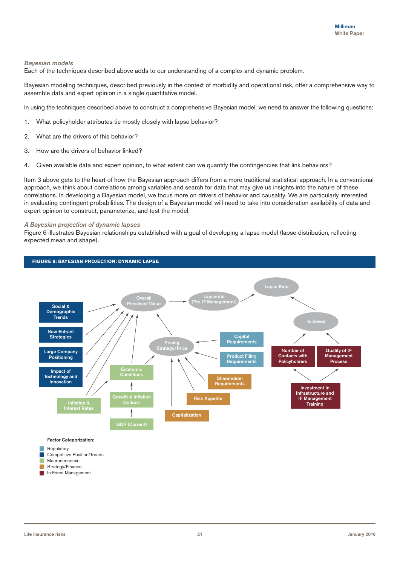#### *Bayesian models*

Each of the techniques described above adds to our understanding of a complex and dynamic problem.

Bayesian modeling techniques, described previously in the context of morbidity and operational risk, offer a comprehensive way to assemble data and expert opinion in a single quantitative model.

In using the techniques described above to construct a comprehensive Bayesian model, we need to answer the following questions:

- 1. What policyholder attributes tie mostly closely with lapse behavior?
- 2. What are the drivers of this behavior?
- 3. How are the drivers of behavior linked?
- 4. Given available data and expert opinion, to what extent can we quantify the contingencies that link behaviors?

Item 3 above gets to the heart of how the Bayesian approach differs from a more traditional statistical approach. In a conventional approach, we think about correlations among variables and search for data that may give us insights into the nature of these correlations. In developing a Bayesian model, we focus more on drivers of behavior and causality. We are particularly interested in evaluating contingent probabilities. The design of a Bayesian model will need to take into consideration availability of data and expert opinion to construct, parameterize, and test the model.

#### *A Bayesian projection of dynamic lapses*

Figure 6 illustrates Bayesian relationships established with a goal of developing a lapse model (lapse distribution, reflecting expected mean and shape).

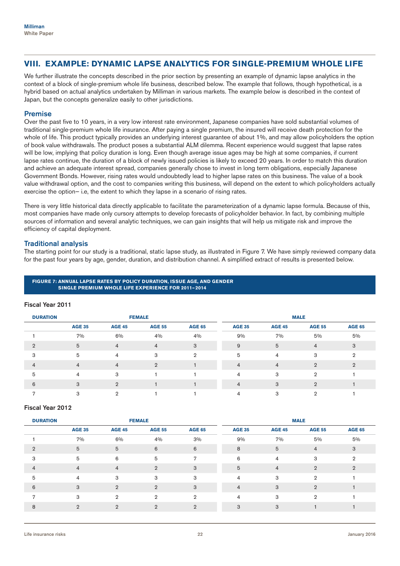# **VIII. EXAMPLE: DYNAMIC LAPSE ANALYTICS FOR SINGLE-PREMIUM WHOLE LIFE**

We further illustrate the concepts described in the prior section by presenting an example of dynamic lapse analytics in the context of a block of single-premium whole life business, described below. The example that follows, though hypothetical, is a hybrid based on actual analytics undertaken by Milliman in various markets. The example below is described in the context of Japan, but the concepts generalize easily to other jurisdictions.

## Premise

Over the past five to 10 years, in a very low interest rate environment, Japanese companies have sold substantial volumes of traditional single-premium whole life insurance. After paying a single premium, the insured will receive death protection for the whole of life. This product typically provides an underlying interest guarantee of about 1%, and may allow policyholders the option of book value withdrawals. The product poses a substantial ALM dilemma. Recent experience would suggest that lapse rates will be low, implying that policy duration is long. Even though average issue ages may be high at some companies, if current lapse rates continue, the duration of a block of newly issued policies is likely to exceed 20 years. In order to match this duration and achieve an adequate interest spread, companies generally chose to invest in long term obligations, especially Japanese Government Bonds. However, rising rates would undoubtedly lead to higher lapse rates on this business. The value of a book value withdrawal option, and the cost to companies writing this business, will depend on the extent to which policyholders actually exercise the option— i.e, the extent to which they lapse in a scenario of rising rates.

There is very little historical data directly applicable to facilitate the parameterization of a dynamic lapse formula. Because of this, most companies have made only cursory attempts to develop forecasts of policyholder behavior. In fact, by combining multiple sources of information and several analytic techniques, we can gain insights that will help us mitigate risk and improve the efficiency of capital deployment.

# Traditional analysis

The starting point for our study is a traditional, static lapse study, as illustrated in Figure 7. We have simply reviewed company data for the past four years by age, gender, duration, and distribution channel. A simplified extract of results is presented below.

#### **FIGURE 7: ANNUAL LAPSE RATES BY POLICY DURATION, ISSUE AGE, AND GENDER SINGLE PREMIUM WHOLE LIFE EXPERIENCE FOR 2011–2014**

#### Fiscal Year 2011

| <b>DURATION</b> | <b>FEMALE</b>  |                |                | <b>MALE</b>    |                |                |                |                |
|-----------------|----------------|----------------|----------------|----------------|----------------|----------------|----------------|----------------|
|                 | <b>AGE 35</b>  | <b>AGE 45</b>  | <b>AGE 55</b>  | <b>AGE 65</b>  | <b>AGE 35</b>  | <b>AGE 45</b>  | <b>AGE 55</b>  | <b>AGE 65</b>  |
|                 | 7%             | 6%             | 4%             | 4%             | 9%             | 7%             | 5%             | 5%             |
| C               | 5              | $\overline{4}$ | 4              | 3              | 9              | 5              | $\overline{4}$ | 3              |
| 3               | 5              | 4              | 3              | $\overline{2}$ | 5              | 4              | 3              | 2              |
| 4               | $\overline{4}$ | $\overline{4}$ | $\mathfrak{D}$ |                | $\overline{4}$ | $\overline{4}$ | $\mathfrak{D}$ | $\mathfrak{D}$ |
| 5               | 4              | 3              |                |                | 4              | 3              | $\overline{2}$ |                |
| 6               | 3              | $\mathcal{D}$  |                |                | 4              | 3              | 2              |                |
|                 | 3              | <sup>o</sup>   |                |                | 4              | 3              |                |                |

#### Fiscal Year 2012

| <b>DURATION</b> |                |                | <b>FEMALE</b>  |                |                |                | <b>MALE</b>    |                |
|-----------------|----------------|----------------|----------------|----------------|----------------|----------------|----------------|----------------|
|                 | <b>AGE 35</b>  | <b>AGE 45</b>  | <b>AGE 55</b>  | <b>AGE 65</b>  | <b>AGE 35</b>  | <b>AGE 45</b>  | <b>AGE 55</b>  | <b>AGE 65</b>  |
|                 | 7%             | 6%             | 4%             | 3%             | 9%             | 7%             | 5%             | 5%             |
| $\overline{2}$  | 5              | 5              | 6              | 6              | 8              | 5              | $\overline{4}$ | 3              |
| 3               | 5              | 6              | 5              | 7              | 6              | 4              | 3              | $\overline{2}$ |
| 4               | $\overline{4}$ | $\overline{4}$ | $\overline{2}$ | 3              | 5              | $\overline{4}$ | $\overline{2}$ | $\overline{2}$ |
| 5               | $\overline{4}$ | 3              | 3              | 3              | $\overline{4}$ | 3              | $\overline{2}$ |                |
| 6               | 3              | $\overline{2}$ | $\overline{2}$ | 3              | $\overline{4}$ | 3              | $\overline{2}$ |                |
| 7               | 3              | $\overline{2}$ | $\overline{2}$ | $\overline{2}$ | $\overline{4}$ | 3              | $\overline{2}$ |                |
| 8               | $\overline{2}$ | $\overline{2}$ | $\overline{2}$ | $\overline{2}$ | 3              | 3              |                |                |
|                 |                |                |                |                |                |                |                |                |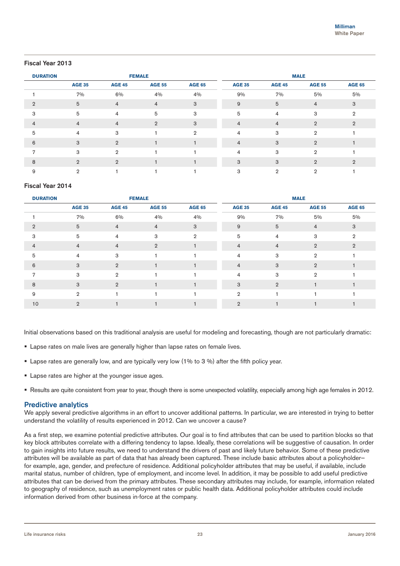## Fiscal Year 2013

| <b>DURATION</b> | <b>FEMALE</b>  |                |                |               | <b>MALE</b>    |                |                |                |
|-----------------|----------------|----------------|----------------|---------------|----------------|----------------|----------------|----------------|
|                 | <b>AGE 35</b>  | <b>AGE 45</b>  | <b>AGE 55</b>  | <b>AGE 65</b> | <b>AGE 35</b>  | <b>AGE 45</b>  | <b>AGE 55</b>  | <b>AGE 65</b>  |
|                 | 7%             | 6%             | 4%             | 4%            | 9%             | 7%             | 5%             | 5%             |
| $\overline{2}$  | 5              | $\overline{4}$ | $\overline{4}$ | 3             | 9              | 5              | $\overline{4}$ | 3              |
| 3               | 5              | $\overline{4}$ | 5              | 3             | 5              | $\overline{4}$ | 3              | $\overline{2}$ |
| $\overline{4}$  | $\overline{4}$ | $\overline{4}$ | $\overline{2}$ | 3             | $\overline{4}$ | $\overline{4}$ | $\overline{2}$ | $\overline{2}$ |
| 5               | $\overline{4}$ | 3              |                | $\mathbf{2}$  | $\overline{4}$ | 3              | $\overline{2}$ |                |
| 6               | 3              | $\overline{2}$ |                |               | $\overline{4}$ | 3              | $\overline{2}$ |                |
|                 | 3              | $\overline{2}$ |                |               | $\overline{4}$ | 3              | $\overline{2}$ |                |
| 8               | $\overline{2}$ | $\overline{2}$ |                |               | 3              | 3              | $\overline{2}$ | $\overline{2}$ |
| 9               | $\overline{2}$ |                |                |               | 3              | $\overline{2}$ | $\overline{2}$ |                |

#### Fiscal Year 2014

| <b>DURATION</b> |                 |                | <b>FEMALE</b>  |                |                |                 | <b>MALE</b>    |                |
|-----------------|-----------------|----------------|----------------|----------------|----------------|-----------------|----------------|----------------|
|                 | <b>AGE 35</b>   | <b>AGE 45</b>  | <b>AGE 55</b>  | <b>AGE 65</b>  | <b>AGE 35</b>  | <b>AGE 45</b>   | <b>AGE 55</b>  | <b>AGE 65</b>  |
|                 | 7%              | 6%             | 4%             | 4%             | 9%             | 7%              | 5%             | 5%             |
| $\overline{2}$  | $5\phantom{.0}$ | $\overline{4}$ | $\overline{4}$ | 3              | 9              | $5\phantom{.0}$ | $\overline{4}$ | 3              |
| 3               | 5               | $\overline{4}$ | 3              | $\overline{2}$ | 5              | $\overline{4}$  | 3              | $\overline{2}$ |
| 4               | $\overline{4}$  | $\overline{4}$ | $\overline{2}$ |                | $\overline{4}$ | $\overline{4}$  | $\overline{2}$ | $\overline{2}$ |
| 5               | $\overline{4}$  | 3              |                |                | $\overline{4}$ | 3               | $\overline{2}$ |                |
| 6               | 3               | $\overline{2}$ |                |                | $\overline{4}$ | 3               | $\overline{2}$ |                |
| 7               | 3               | $\overline{2}$ |                |                | $\overline{4}$ | 3               | $\overline{2}$ |                |
| 8               | 3               | $\overline{2}$ |                |                | 3              | $\overline{2}$  |                |                |
| 9               | $\overline{2}$  |                |                |                | $\mathbf{2}$   |                 |                |                |
| 10              | $\overline{2}$  |                |                |                | $\overline{2}$ |                 |                |                |

Initial observations based on this traditional analysis are useful for modeling and forecasting, though are not particularly dramatic:

- **Lapse rates on male lives are generally higher than lapse rates on female lives.**
- Lapse rates are generally low, and are typically very low (1% to 3 %) after the fifth policy year.
- **Lapse rates are higher at the younger issue ages.**
- Results are quite consistent from year to year, though there is some unexpected volatility, especially among high age females in 2012.

#### Predictive analytics

We apply several predictive algorithms in an effort to uncover additional patterns. In particular, we are interested in trying to better understand the volatility of results experienced in 2012. Can we uncover a cause?

As a first step, we examine potential predictive attributes. Our goal is to find attributes that can be used to partition blocks so that key block attributes correlate with a differing tendency to lapse. Ideally, these correlations will be suggestive of causation. In order to gain insights into future results, we need to understand the drivers of past and likely future behavior. Some of these predictive attributes will be available as part of data that has already been captured. These include basic attributes about a policyholder for example, age, gender, and prefecture of residence. Additional policyholder attributes that may be useful, if available, include marital status, number of children, type of employment, and income level. In addition, it may be possible to add useful predictive attributes that can be derived from the primary attributes. These secondary attributes may include, for example, information related to geography of residence, such as unemployment rates or public health data. Additional policyholder attributes could include information derived from other business in-force at the company.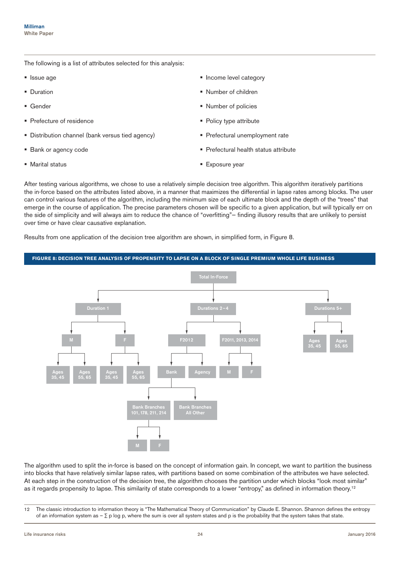The following is a list of attributes selected for this analysis:

- **Issue age**
- **•** Duration
- **Gender**
- **Prefecture of residence**
- **Distribution channel (bank versus tied agency)**
- **Bank or agency code**
- **Marital status**
- **Income level category**
- Number of children
- Number of policies
- Policy type attribute
- Prefectural unemployment rate
- Prefectural health status attribute
- **Exposure year**

After testing various algorithms, we chose to use a relatively simple decision tree algorithm. This algorithm iteratively partitions the in-force based on the attributes listed above, in a manner that maximizes the differential in lapse rates among blocks. The user can control various features of the algorithm, including the minimum size of each ultimate block and the depth of the "trees" that emerge in the course of application. The precise parameters chosen will be specific to a given application, but will typically err on the side of simplicity and will always aim to reduce the chance of "overfitting"— finding illusory results that are unlikely to persist over time or have clear causative explanation.

Results from one application of the decision tree algorithm are shown, in simplified form, in Figure 8.

#### **FIGURE 8: DECISION TREE ANALYSIS OF PROPENSITY TO LAPSE ON A BLOCK OF SINGLE PREMIUM WHOLE LIFE BUSINESS** Bank Branches 101, 178, 211, 214 Bank Branches All Other Total In-Force Durations 2 $\overline{ }$ F2012 F2011, 2013, 2014 Ages 35, 45 Ages 55, 65 Ages 35, 45 Ages 55, 65 Bank **Agency** Duratio M F M F M F Ages 35, 45 Ages 55, 65

The algorithm used to split the in-force is based on the concept of information gain. In concept, we want to partition the business into blocks that have relatively similar lapse rates, with partitions based on some combination of the attributes we have selected. At each step in the construction of the decision tree, the algorithm chooses the partition under which blocks "look most similar" as it regards propensity to lapse. This similarity of state corresponds to a lower "entropy," as defined in information theory.<sup>12</sup>

<sup>12</sup> The classic introduction to information theory is "The Mathematical Theory of Communication" by Claude E. Shannon. Shannon defines the entropy of an information system as –  $\Sigma$  p log p, where the sum is over all system states and p is the probability that the system takes that state.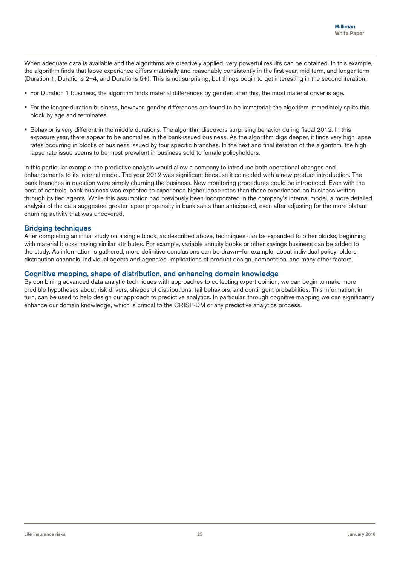When adequate data is available and the algorithms are creatively applied, very powerful results can be obtained. In this example, the algorithm finds that lapse experience differs materially and reasonably consistently in the first year, mid-term, and longer term (Duration 1, Durations 2–4, and Durations 5+). This is not surprising, but things begin to get interesting in the second iteration:

- For Duration 1 business, the algorithm finds material differences by gender; after this, the most material driver is age.
- For the longer-duration business, however, gender differences are found to be immaterial; the algorithm immediately splits this block by age and terminates.
- Behavior is very different in the middle durations. The algorithm discovers surprising behavior during fiscal 2012. In this exposure year, there appear to be anomalies in the bank-issued business. As the algorithm digs deeper, it finds very high lapse rates occurring in blocks of business issued by four specific branches. In the next and final iteration of the algorithm, the high lapse rate issue seems to be most prevalent in business sold to female policyholders.

In this particular example, the predictive analysis would allow a company to introduce both operational changes and enhancements to its internal model. The year 2012 was significant because it coincided with a new product introduction. The bank branches in question were simply churning the business. New monitoring procedures could be introduced. Even with the best of controls, bank business was expected to experience higher lapse rates than those experienced on business written through its tied agents. While this assumption had previously been incorporated in the company's internal model, a more detailed analysis of the data suggested greater lapse propensity in bank sales than anticipated, even after adjusting for the more blatant churning activity that was uncovered.

# **Bridging techniques**

After completing an initial study on a single block, as described above, techniques can be expanded to other blocks, beginning with material blocks having similar attributes. For example, variable annuity books or other savings business can be added to the study. As information is gathered, more definitive conclusions can be drawn—for example, about individual policyholders, distribution channels, individual agents and agencies, implications of product design, competition, and many other factors.

## Cognitive mapping, shape of distribution, and enhancing domain knowledge

By combining advanced data analytic techniques with approaches to collecting expert opinion, we can begin to make more credible hypotheses about risk drivers, shapes of distributions, tail behaviors, and contingent probabilities. This information, in turn, can be used to help design our approach to predictive analytics. In particular, through cognitive mapping we can significantly enhance our domain knowledge, which is critical to the CRISP-DM or any predictive analytics process.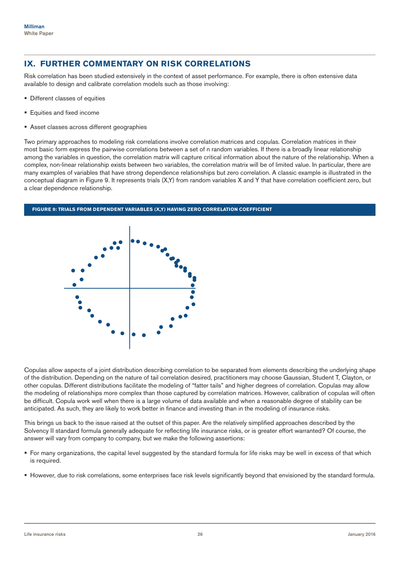# **IX. FURTHER COMMENTARY ON RISK CORRELATIONS**

Risk correlation has been studied extensively in the context of asset performance. For example, there is often extensive data available to design and calibrate correlation models such as those involving:

- Different classes of equities
- **Equities and fixed income**
- **Asset classes across different geographies**

Two primary approaches to modeling risk correlations involve correlation matrices and copulas. Correlation matrices in their most basic form express the pairwise correlations between a set of n random variables. If there is a broadly linear relationship among the variables in question, the correlation matrix will capture critical information about the nature of the relationship. When a complex, non-linear relationship exists between two variables, the correlation matrix will be of limited value. In particular, there are many examples of variables that have strong dependence relationships but zero correlation. A classic example is illustrated in the conceptual diagram in Figure 9. It represents trials (X,Y) from random variables X and Y that have correlation coefficient zero, but a clear dependence relationship.



Copulas allow aspects of a joint distribution describing correlation to be separated from elements describing the underlying shape of the distribution. Depending on the nature of tail correlation desired, practitioners may choose Gaussian, Student T, Clayton, or other copulas. Different distributions facilitate the modeling of "fatter tails" and higher degrees of correlation. Copulas may allow the modeling of relationships more complex than those captured by correlation matrices. However, calibration of copulas will often be difficult. Copula work well when there is a large volume of data available and when a reasonable degree of stability can be anticipated. As such, they are likely to work better in finance and investing than in the modeling of insurance risks.

This brings us back to the issue raised at the outset of this paper. Are the relatively simplified approaches described by the Solvency II standard formula generally adequate for reflecting life insurance risks, or is greater effort warranted? Of course, the answer will vary from company to company, but we make the following assertions:

- For many organizations, the capital level suggested by the standard formula for life risks may be well in excess of that which is required.
- However, due to risk correlations, some enterprises face risk levels significantly beyond that envisioned by the standard formula.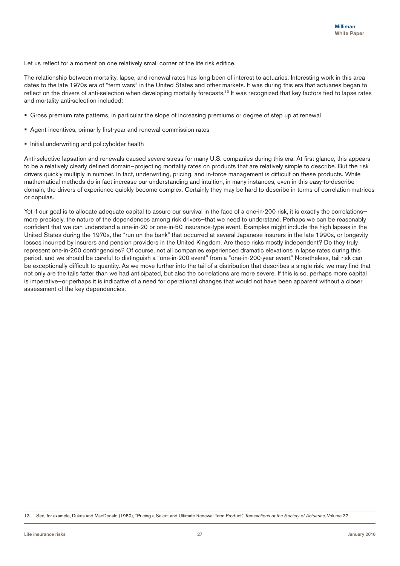Let us reflect for a moment on one relatively small corner of the life risk edifice.

The relationship between mortality, lapse, and renewal rates has long been of interest to actuaries. Interesting work in this area dates to the late 1970s era of "term wars" in the United States and other markets. It was during this era that actuaries began to reflect on the drivers of anti-selection when developing mortality forecasts.<sup>13</sup> It was recognized that key factors tied to lapse rates and mortality anti-selection included:

- Gross premium rate patterns, in particular the slope of increasing premiums or degree of step up at renewal
- Agent incentives, primarily first-year and renewal commission rates
- **Initial underwriting and policyholder health**

Anti-selective lapsation and renewals caused severe stress for many U.S. companies during this era. At first glance, this appears to be a relatively clearly defined domain—projecting mortality rates on products that are relatively simple to describe. But the risk drivers quickly multiply in number. In fact, underwriting, pricing, and in-force management is difficult on these products. While mathematical methods do in fact increase our understanding and intuition, in many instances, even in this easy-to-describe domain, the drivers of experience quickly become complex. Certainly they may be hard to describe in terms of correlation matrices or copulas.

Yet if our goal is to allocate adequate capital to assure our survival in the face of a one-in-200 risk, it is exactly the correlationsmore precisely, the nature of the dependences among risk drivers—that we need to understand. Perhaps we can be reasonably confident that we can understand a one-in-20 or one-in-50 insurance-type event. Examples might include the high lapses in the United States during the 1970s, the "run on the bank" that occurred at several Japanese insurers in the late 1990s, or longevity losses incurred by insurers and pension providers in the United Kingdom. Are these risks mostly independent? Do they truly represent one-in-200 contingencies? Of course, not all companies experienced dramatic elevations in lapse rates during this period, and we should be careful to distinguish a "one-in-200 event" from a "one-in-200-year event." Nonetheless, tail risk can be exceptionally difficult to quantity. As we move further into the tail of a distribution that describes a single risk, we may find that not only are the tails fatter than we had anticipated, but also the correlations are more severe. If this is so, perhaps more capital is imperative—or perhaps it is indicative of a need for operational changes that would not have been apparent without a closer assessment of the key dependencies.

13 See, for example, Dukes and MacDonald (1980), "Pricing a Select and Ultimate Renewal Term Product," *Transactions of the Society of Actuaries*, Volume 32.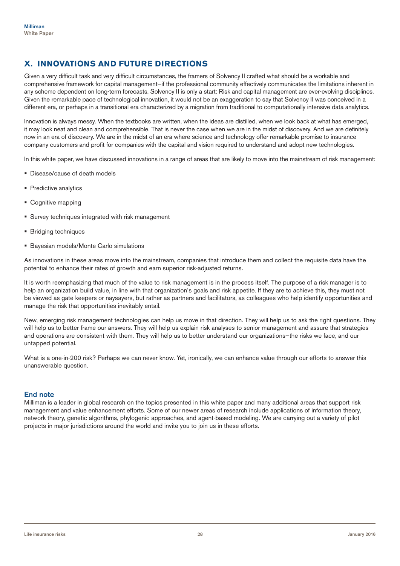# **X. INNOVATIONS AND FUTURE DIRECTIONS**

Given a very difficult task and very difficult circumstances, the framers of Solvency II crafted what should be a workable and comprehensive framework for capital management—if the professional community effectively communicates the limitations inherent in any scheme dependent on long-term forecasts. Solvency II is only a start: Risk and capital management are ever-evolving disciplines. Given the remarkable pace of technological innovation, it would not be an exaggeration to say that Solvency II was conceived in a different era, or perhaps in a transitional era characterized by a migration from traditional to computationally intensive data analytics.

Innovation is always messy. When the textbooks are written, when the ideas are distilled, when we look back at what has emerged, it may look neat and clean and comprehensible. That is never the case when we are in the midst of discovery. And we are definitely now in an era of discovery. We are in the midst of an era where science and technology offer remarkable promise to insurance company customers and profit for companies with the capital and vision required to understand and adopt new technologies.

In this white paper, we have discussed innovations in a range of areas that are likely to move into the mainstream of risk management:

- **Disease/cause of death models**
- **Predictive analytics**
- Cognitive mapping
- **Survey techniques integrated with risk management**
- **Bridging techniques**
- **Bayesian models/Monte Carlo simulations**

As innovations in these areas move into the mainstream, companies that introduce them and collect the requisite data have the potential to enhance their rates of growth and earn superior risk-adjusted returns.

It is worth reemphasizing that much of the value to risk management is in the process itself. The purpose of a risk manager is to help an organization build value, in line with that organization's goals and risk appetite. If they are to achieve this, they must not be viewed as gate keepers or naysayers, but rather as partners and facilitators, as colleagues who help identify opportunities and manage the risk that opportunities inevitably entail.

New, emerging risk management technologies can help us move in that direction. They will help us to ask the right questions. They will help us to better frame our answers. They will help us explain risk analyses to senior management and assure that strategies and operations are consistent with them. They will help us to better understand our organizations—the risks we face, and our untapped potential.

What is a one-in-200 risk? Perhaps we can never know. Yet, ironically, we can enhance value through our efforts to answer this unanswerable question.

#### End note

Milliman is a leader in global research on the topics presented in this white paper and many additional areas that support risk management and value enhancement efforts. Some of our newer areas of research include applications of information theory, network theory, genetic algorithms, phylogenic approaches, and agent-based modeling. We are carrying out a variety of pilot projects in major jurisdictions around the world and invite you to join us in these efforts.